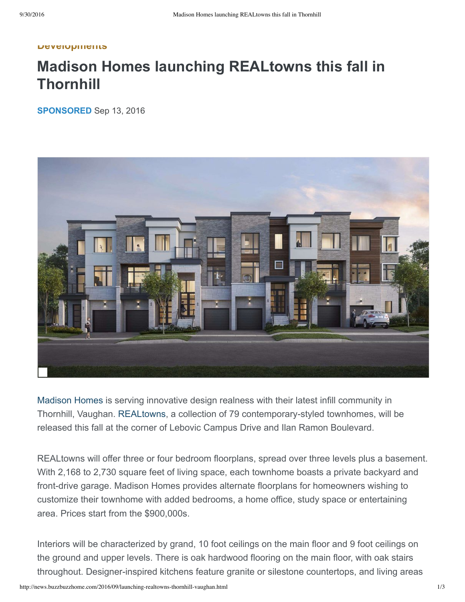## **Developments**

## **Madison Homes launching REALtowns this fall in Thornhill**

**SPONSORED** Sep 13, 2016



[Madison](https://www.buzzbuzzhome.com/us/db/madison_homes1) Homes is serving innovative design realness with their latest infill community in Thornhill, Vaughan. [REALtowns,](https://www.buzzbuzzhome.com/us/real-towns) a collection of 79 contemporary-styled townhomes, will be released this fall at the corner of Lebovic Campus Drive and Ilan Ramon Boulevard.

REALtowns will offer three or four bedroom floorplans, spread over three levels plus a basement. With 2,168 to 2,730 square feet of living space, each townhome boasts a private backyard and front-drive garage. Madison Homes provides alternate floorplans for homeowners wishing to customize their townhome with added bedrooms, a home office, study space or entertaining area. Prices start from the \$900,000s.

Interiors will be characterized by grand, 10 foot ceilings on the main floor and 9 foot ceilings on the ground and upper levels. There is oak hardwood flooring on the main floor, with oak stairs throughout. Designer-inspired kitchens feature granite or silestone countertops, and living areas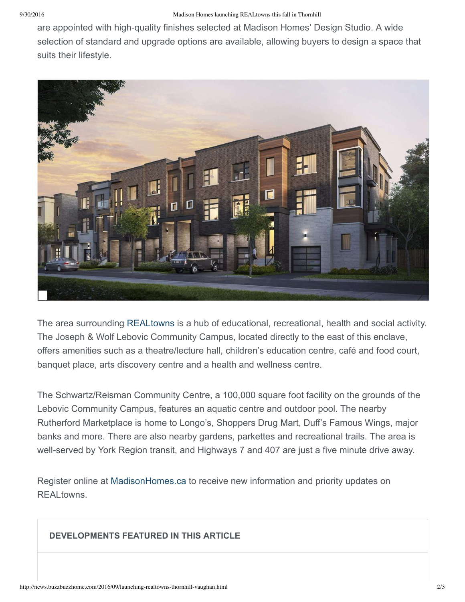are appointed with high-quality finishes selected at Madison Homes' Design Studio. A wide selection of standard and upgrade options are available, allowing buyers to design a space that suits their lifestyle.



The area surrounding [REALtowns](https://www.buzzbuzzhome.com/us/real-towns) is a hub of educational, recreational, health and social activity. The Joseph & Wolf Lebovic Community Campus, located directly to the east of this enclave, offers amenities such as a theatre/lecture hall, children's education centre, café and food court, banquet place, arts discovery centre and a health and wellness centre.

The Schwartz/Reisman Community Centre, a 100,000 square foot facility on the grounds of the Lebovic Community Campus, features an aquatic centre and outdoor pool. The nearby Rutherford Marketplace is home to Longo's, Shoppers Drug Mart, Duff's Famous Wings, major banks and more. There are also nearby gardens, parkettes and recreational trails. The area is well-served by York Region transit, and Highways 7 and 407 are just a five minute drive away.

Register online at [MadisonHomes.ca](http://madisonhomes.ca/register.php?rise=low&community=legacy) to receive new information and priority updates on REALtowns.

## **DEVELOPMENTS FEATURED IN THIS ARTICLE**